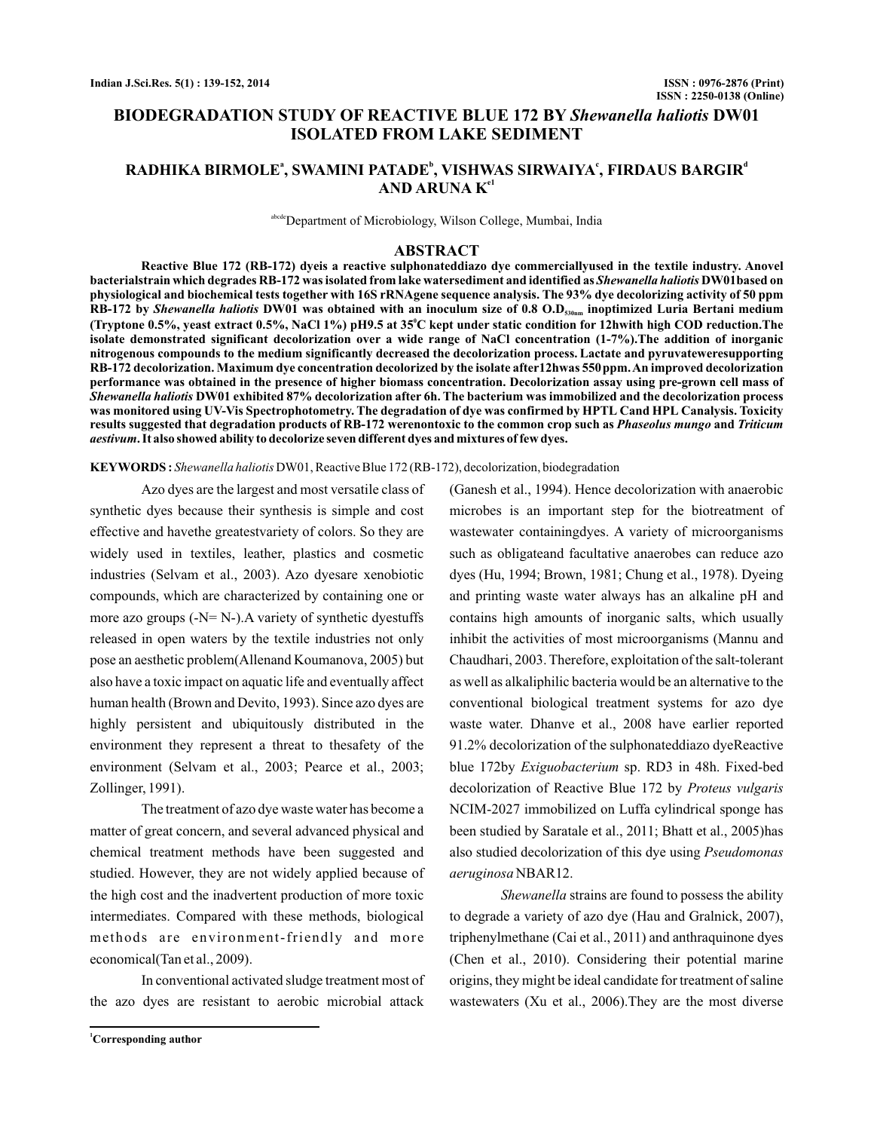# **BIODEGRADATION STUDY OF REACTIVE BLUE 172 BY Shewanella haliotis DW01 ISOLATED FROM LAKE SEDIMENT**

# **RADHIKA BIRMOLE , SWAMINI PATADE , VISHWAS SIRWAIYA , FIRDAUS BARGIR a b c d AND ARUNA K e1**

abcde Department of Microbiology, Wilson College, Mumbai, India

## **ABSTRACT**

**Reactive Blue 172 (RB-172) dyeis a reactive sulphonateddiazo dye commerciallyused in the textile industry. Anovel** bacterialstrain which degrades RB-172 was isolated from lake watersediment and identified as *Shewanella haliotis* DW01based on **physiological and biochemical tests together with 16S rRNAgene sequence analysis. The 93% dye decolorizing activity of 50 ppm** RB-172 by *Shewanella haliotis* DW01 was obtained with an inoculum size of 0.8 O.D<sub>530nm</sub> inoptimized Luria Bertani medium **(Tryptone 0.5%, yeast extract 0.5%, NaCl 1%) pH9.5 at 35 C kept under static condition for 12hwith high COD reduction.The 0 isolate demonstrated significant decolorization over a wide range of NaCl concentration (1-7%).The addition of inorganic nitrogenous compounds to the medium significantly decreased the decolorization process. Lactate and pyruvateweresupporting RB-172 decolorization. Maximum dye concentration decolorized by the isolate after12hwas 550ppm.An improved decolorization performance was obtained in the presence of higher biomass concentration. Decolorization assay using pre-grown cell mass of DW01 exhibited 87% decolorization after 6h. The bacterium was immobilized and the decolorization process** *Shewanella haliotis* **was monitored using UV-Vis Spectrophotometry. The degradation of dye was confirmed by HPTL Cand HPL Canalysis. Toxicity** results suggested that degradation products of RB-172 werenontoxic to the common crop such as *Phaseolus mungo* and *Triticum* **. It also showed ability to decolorize seven different dyes and mixtures of few dyes.** *aestivum*

**KEYWORDS :** *Shewanella haliotis* DW01, Reactive Blue 172 (RB-172), decolorization, biodegradation

Azo dyes are the largest and most versatile class of synthetic dyes because their synthesis is simple and cost effective and havethe greatestvariety of colors. So they are widely used in textiles, leather, plastics and cosmetic industries (Selvam et al., 2003). Azo dyesare xenobiotic compounds, which are characterized by containing one or more azo groups  $(-N=N-)$ . A variety of synthetic dyestuffs released in open waters by the textile industries not only pose an aesthetic problem(Allenand Koumanova, 2005) but also have a toxic impact on aquatic life and eventually affect human health (Brown and Devito, 1993). Since azo dyes are highly persistent and ubiquitously distributed in the environment they represent a threat to thesafety of the environment (Selvam et al., 2003; Pearce et al., 2003; Zollinger, 1991).

The treatment of azo dye waste water has become a matter of great concern, and several advanced physical and chemical treatment methods have been suggested and studied. However, they are not widely applied because of the high cost and the inadvertent production of more toxic intermediates. Compared with these methods, biological methods are environment-friendly and more economical(Tan et al., 2009).

In conventional activated sludge treatment most of the azo dyes are resistant to aerobic microbial attack

**<sup>1</sup>Corresponding author**

(Ganesh et al., 1994). Hence decolorization with anaerobic microbes is an important step for the biotreatment of wastewater containingdyes. A variety of microorganisms such as obligateand facultative anaerobes can reduce azo dyes (Hu, 1994; Brown, 1981; Chung et al., 1978). Dyeing and printing waste water always has an alkaline pH and contains high amounts of inorganic salts, which usually inhibit the activities of most microorganisms (Mannu and Chaudhari, 2003. Therefore, exploitation of the salt-tolerant as well as alkaliphilic bacteria would be an alternative to the conventional biological treatment systems for azo dye waste water. Dhanve et al., 2008 have earlier reported 91.2% decolorization of the sulphonateddiazo dyeReactive blue 172by Exiguobacterium sp. RD3 in 48h. Fixed-bed decolorization of Reactive Blue 172 by *Proteus vulgaris* NCIM-2027 immobilized on Luffa cylindrical sponge has been studied by Saratale et al., 2011; Bhatt et al., 2005)has also studied decolorization of this dye using *Pseudomonas* NBAR12. *aeruginosa*

Shewanella strains are found to possess the ability to degrade a variety of azo dye (Hau and Gralnick, 2007), triphenylmethane (Cai et al., 2011) and anthraquinone dyes (Chen et al., 2010). Considering their potential marine origins, they might be ideal candidate for treatment of saline wastewaters (Xu et al., 2006).They are the most diverse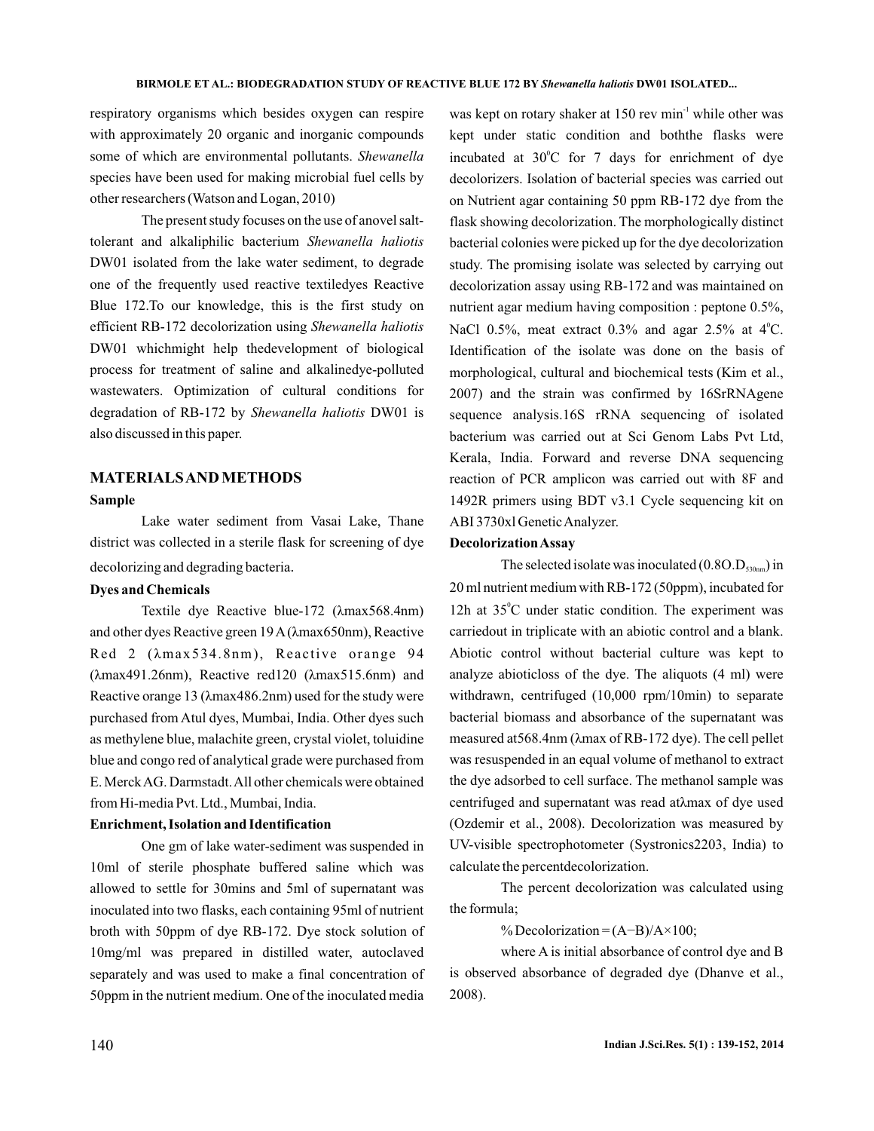respiratory organisms which besides oxygen can respire with approximately 20 organic and inorganic compounds some of which are environmental pollutants. *Shewanella* species have been used for making microbial fuel cells by other researchers (Watson and Logan, 2010)

The present study focuses on the use of anovel salttolerant and alkaliphilic bacterium *Shewanella haliotis* DW01 isolated from the lake water sediment, to degrade one of the frequently used reactive textiledyes Reactive Blue 172.To our knowledge, this is the first study on efficient RB-172 decolorization using *Shewanella haliotis* DW01 whichmight help thedevelopment of biological process for treatment of saline and alkalinedye-polluted wastewaters. Optimization of cultural conditions for degradation of RB-172 by Shewanella haliotis DW01 is also discussed in this paper.

## **MATERIALSAND METHODS**

#### **Sample**

Lake water sediment from Vasai Lake, Thane district was collected in a sterile flask for screening of dye decolorizing and degrading bacteria .

## **Dyes and Chemicals**

Textile dye Reactive blue-172 (λmax568.4nm) and other dyes Reactive green 19 A (λmax650nm), Reactive Red 2 ( $\lambda$ max534.8nm), Reactive orange 94  $(\lambda max491.26nm)$ , Reactive red120  $(\lambda max515.6nm)$  and Reactive orange 13 (λmax486.2nm) used for the study were purchased from Atul dyes, Mumbai, India. Other dyes such as methylene blue, malachite green, crystal violet, toluidine blue and congo red of analytical grade were purchased from E. MerckAG. Darmstadt.All other chemicals were obtained from Hi-media Pvt. Ltd., Mumbai, India.

### **Enrichment, Isolation and Identification**

One gm of lake water-sediment was suspended in 10ml of sterile phosphate buffered saline which was allowed to settle for 30mins and 5ml of supernatant was inoculated into two flasks, each containing 95ml of nutrient broth with 50ppm of dye RB-172. Dye stock solution of 10mg/ml was prepared in distilled water, autoclaved separately and was used to make a final concentration of 50ppm in the nutrient medium. One of the inoculated media

was kept on rotary shaker at 150 rev min<sup>-1</sup> while other was kept under static condition and boththe flasks were incubated at  $30^{\circ}$ C for 7 days for enrichment of dye decolorizers. Isolation of bacterial species was carried out on Nutrient agar containing 50 ppm RB-172 dye from the flask showing decolorization. The morphologically distinct bacterial colonies were picked up for the dye decolorization study. The promising isolate was selected by carrying out decolorization assay using RB-172 and was maintained on nutrient agar medium having composition : peptone 0.5%, NaCl 0.5%, meat extract 0.3% and agar 2.5% at  $4^{\circ}$ C. Identification of the isolate was done on the basis of morphological, cultural and biochemical tests (Kim et al., 2007) and the strain was confirmed by 16SrRNAgene sequence analysis.16S rRNA sequencing of isolated bacterium was carried out at Sci Genom Labs Pvt Ltd, Kerala, India. Forward and reverse DNA sequencing reaction of PCR amplicon was carried out with 8F and 1492R primers using BDT v3.1 Cycle sequencing kit on ABI 3730xl GeneticAnalyzer.

#### **DecolorizationAssay**

The selected isolate was inoculated  $(0.8O.D<sub>530nm</sub>)$  in 20 ml nutrient medium with RB-172 (50ppm), incubated for 12h at  $35^{\circ}$ C under static condition. The experiment was carriedout in triplicate with an abiotic control and a blank. Abiotic control without bacterial culture was kept to analyze abioticloss of the dye. The aliquots (4 ml) were withdrawn, centrifuged (10,000 rpm/10min) to separate bacterial biomass and absorbance of the supernatant was measured at568.4nm (λmax of RB-172 dye). The cell pellet was resuspended in an equal volume of methanol to extract (Ozdemir et al., 2008). Decolorization was measured by UV-visible spectrophotometer (Systronics2203, India) to calculate the percentdecolorization. the dye adsorbed to cell surface. The methanol sample was centrifuged and supernatant was read atλmax of dye used

The percent decolorization was calculated using the formula;

% Decolorization =  $(A-B)/A \times 100$ ;

where A is initial absorbance of control dye and B is observed absorbance of degraded dye (Dhanve et al., 2008).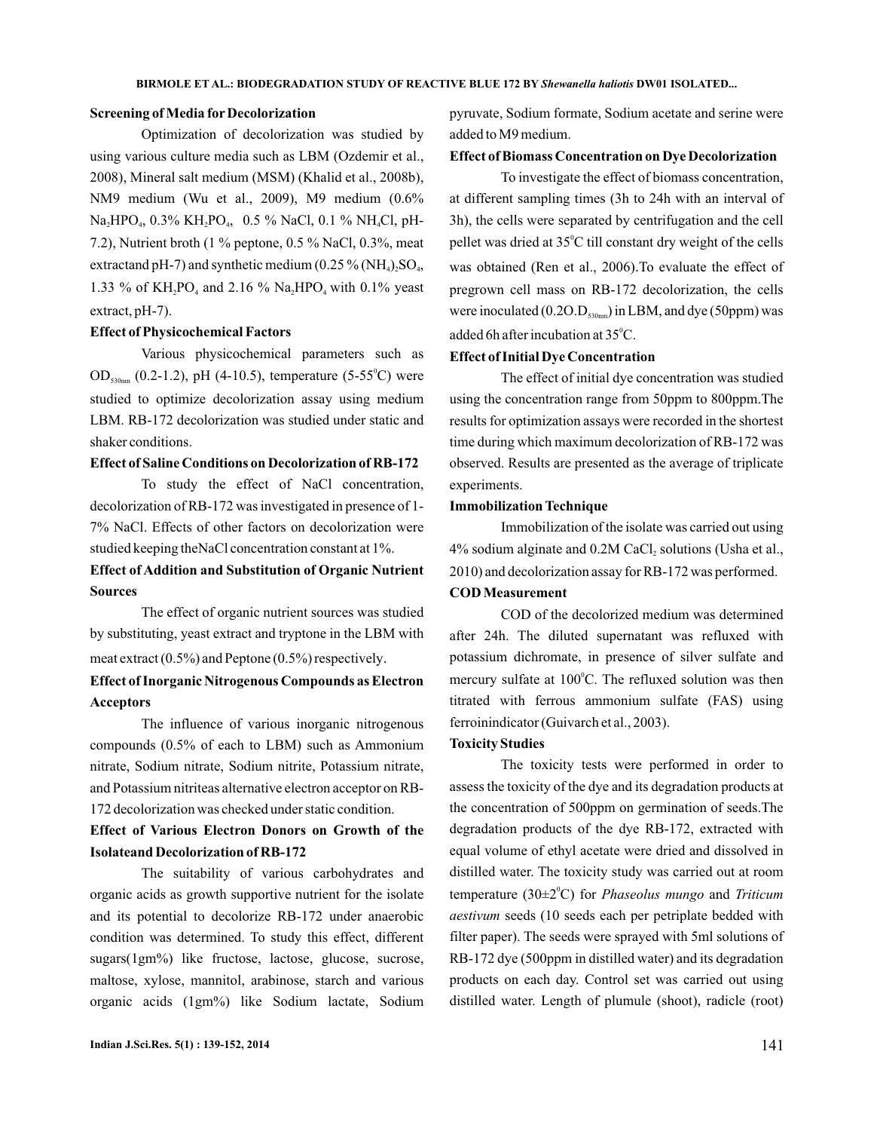### **Screening of Media for Decolorization**

Optimization of decolorization was studied by using various culture media such as LBM (Ozdemir et al., 2008), Mineral salt medium (MSM) (Khalid et al., 2008b), NM9 medium (Wu et al., 2009), M9 medium (0.6% Na<sub>2</sub>HPO<sub>4</sub>, 0.3% KH<sub>2</sub>PO<sub>4</sub>, 0.5 % NaCl, 0.1 % NH<sub>4</sub>Cl, pH-7.2), Nutrient broth (1 % peptone, 0.5 % NaCl, 0.3%, meat extractand pH-7) and synthetic medium (0.25  $\%$  (NH<sub>4</sub>)<sub>2</sub>SO<sub>4</sub>, 1.33 % of  $KH_2PO_4$  and 2.16 % Na<sub>2</sub>HPO<sub>4</sub> with 0.1% yeast extract, pH-7).

### **Effect of Physicochemical Factors**

Various physicochemical parameters such as OD<sub>530nm</sub> (0.2-1.2), pH (4-10.5), temperature (5-55<sup>°</sup>C) were studied to optimize decolorization assay using medium LBM. RB-172 decolorization was studied under static and shaker conditions.

## **Effect of Saline Conditions on Decolorization of RB-172**

To study the effect of NaCl concentration, decolorization of RB-172 was investigated in presence of 1- 7% NaCl. Effects of other factors on decolorization were studied keeping theNaCl concentration constant at 1%.

# **Effect of Addition and Substitution of Organic Nutrient Sources**

The effect of organic nutrient sources was studied by substituting, yeast extract and tryptone in the LBM with meat extract (0.5%) and Peptone (0.5%) respectively .

## **Effect of Inorganic Nitrogenous Compounds as Electron Acceptors**

The influence of various inorganic nitrogenous compounds (0.5% of each to LBM) such as Ammonium nitrate, Sodium nitrate, Sodium nitrite, Potassium nitrate, and Potassium nitriteas alternative electron acceptor on RB-172 decolorization was checked under static condition.

# **Effect of Various Electron Donors on Growth of the Isolateand Decolorization of RB-172**

The suitability of various carbohydrates and organic acids as growth supportive nutrient for the isolate and its potential to decolorize RB-172 under anaerobic condition was determined. To study this effect, different sugars(1gm%) like fructose, lactose, glucose, sucrose, maltose, xylose, mannitol, arabinose, starch and various organic acids (1gm%) like Sodium lactate, Sodium

### **Effect of Biomass Concentration on Dye Decolorization**

To investigate the effect of biomass concentration, at different sampling times (3h to 24h with an interval of 3h), the cells were separated by centrifugation and the cell pellet was dried at  $35^{\circ}$ C till constant dry weight of the cells was obtained (Ren et al., 2006). To evaluate the effect of pregrown cell mass on RB-172 decolorization, the cells were inoculated (0.20. $D_{\text{\tiny{530nm}}})$  in LBM, and dye (50ppm) was added 6h after incubation at  $35^{\circ}$ C.

### **Effect of Initial Dye Concentration**

The effect of initial dye concentration was studied using the concentration range from 50ppm to 800ppm.The results for optimization assays were recorded in the shortest time during which maximum decolorization of RB-172 was observed. Results are presented as the average of triplicate experiments.

### **Immobilization Technique**

Immobilization of the isolate was carried out using 4% sodium alginate and  $0.2M$  CaCl<sub>2</sub> solutions (Usha et al., 2010) and decolorization assay for RB-172 was performed.

## **COD Measurement**

COD of the decolorized medium was determined after 24h. The diluted supernatant was refluxed with potassium dichromate, in presence of silver sulfate and mercury sulfate at 100°C. The refluxed solution was then titrated with ferrous ammonium sulfate (FAS) using ferroinindicator (Guivarch et al., 2003).

#### **Toxicity Studies**

The toxicity tests were performed in order to assess the toxicity of the dye and its degradation products at the concentration of 500ppm on germination of seeds.The degradation products of the dye RB-172, extracted with equal volume of ethyl acetate were dried and dissolved in distilled water. The toxicity study was carried out at room temperature (30±2<sup>°</sup>C) for *Phaseolus mungo* and *Triticum* aestivum seeds (10 seeds each per petriplate bedded with filter paper). The seeds were sprayed with 5ml solutions of RB-172 dye (500ppm in distilled water) and its degradation products on each day. Control set was carried out using distilled water. Length of plumule (shoot), radicle (root)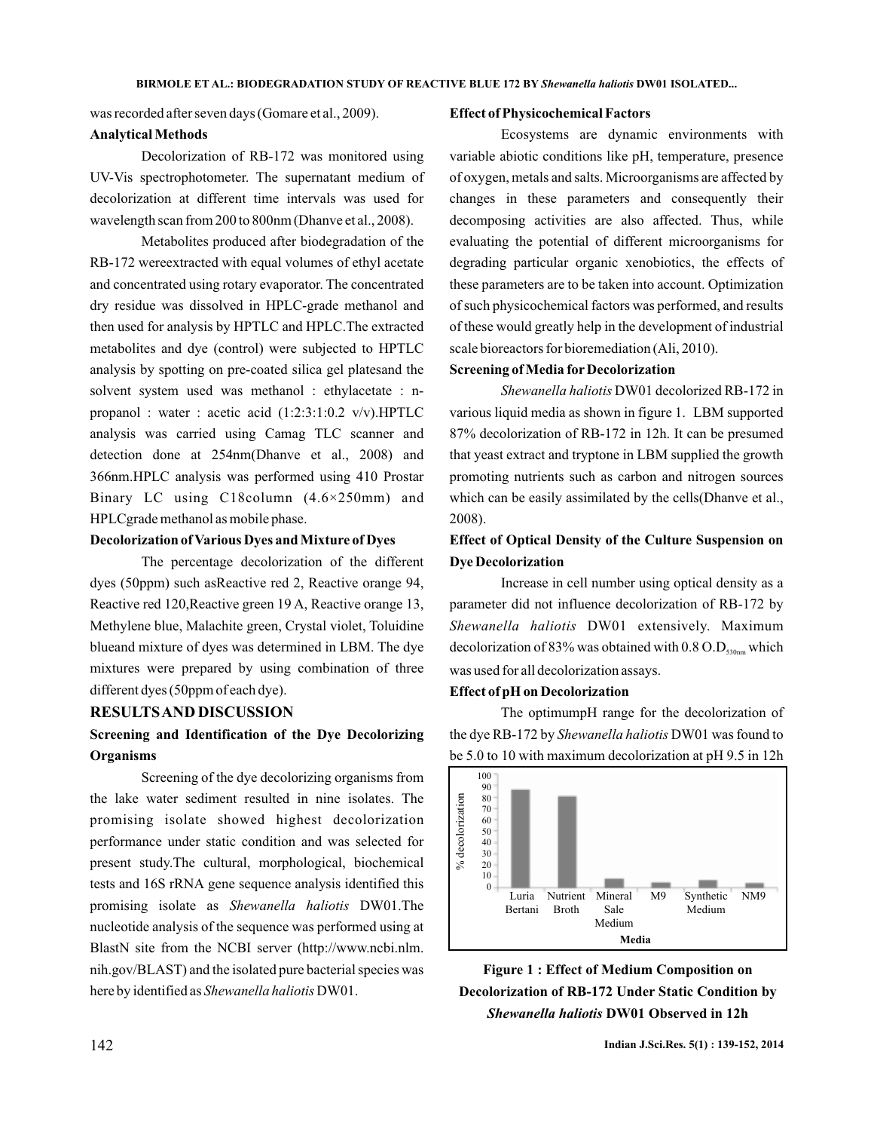was recorded after seven days (Gomare et al., 2009).

### **Analytical Methods**

Decolorization of RB-172 was monitored using UV-Vis spectrophotometer. The supernatant medium of decolorization at different time intervals was used for wavelength scan from 200 to 800nm (Dhanve et al., 2008).

Metabolites produced after biodegradation of the RB-172 wereextracted with equal volumes of ethyl acetate and concentrated using rotary evaporator. The concentrated dry residue was dissolved in HPLC-grade methanol and then used for analysis by HPTLC and HPLC.The extracted metabolites and dye (control) were subjected to HPTLC analysis by spotting on pre-coated silica gel platesand the solvent system used was methanol : ethylacetate : npropanol : water : acetic acid (1:2:3:1:0.2 v/v).HPTLC analysis was carried using Camag TLC scanner and detection done at 254nm(Dhanve et al., 2008) and 366nm.HPLC analysis was performed using 410 Prostar Binary LC using C18column (4.6×250mm) and HPLCgrade methanol as mobile phase.

## **Decolorization of Various Dyes and Mixture of Dyes**

The percentage decolorization of the different dyes (50ppm) such asReactive red 2, Reactive orange 94, Reactive red 120,Reactive green 19 A, Reactive orange 13, Methylene blue, Malachite green, Crystal violet, Toluidine blueand mixture of dyes was determined in LBM. The dye mixtures were prepared by using combination of three different dyes (50ppm of each dye).

### **RESULTSAND DISCUSSION**

# **Screening and Identification of the Dye Decolorizing Organisms**

Screening of the dye decolorizing organisms from the lake water sediment resulted in nine isolates. The promising isolate showed highest decolorization performance under static condition and was selected for present study.The cultural, morphological, biochemical tests and 16S rRNA gene sequence analysis identified this promising isolate as Shewanella haliotis DW01.The nucleotide analysis of the sequence was performed using at BlastN site from the NCBI server (http://www.ncbi.nlm. nih.gov/BLAST) and the isolated pure bacterial species was here by identified as Shewanella haliotis DW01.

### **Effect of Physicochemical Factors**

Ecosystems are dynamic environments with variable abiotic conditions like pH, temperature, presence of oxygen, metals and salts. Microorganisms are affected by changes in these parameters and consequently their decomposing activities are also affected. Thus, while evaluating the potential of different microorganisms for degrading particular organic xenobiotics, the effects of these parameters are to be taken into account. Optimization of such physicochemical factors was performed, and results of these would greatly help in the development of industrial scale bioreactors for bioremediation (Ali, 2010).

#### **Screening of Media for Decolorization**

Shewanella haliotis DW01 decolorized RB-172 in various liquid media as shown in figure 1. LBM supported 87% decolorization of RB-172 in 12h. It can be presumed that yeast extract and tryptone in LBM supplied the growth promoting nutrients such as carbon and nitrogen sources which can be easily assimilated by the cells(Dhanve et al., 2008).

# **Effect of Optical Density of the Culture Suspension on Dye Decolorization**

Increase in cell number using optical density as a parameter did not influence decolorization of RB-172 by Shewanella haliotis DW01 extensively. Maximum decolorization of 83% was obtained with  $0.8 \text{ O.D}_{\text{530nm}}$  which was used for all decolorization assays.

## **Effect of pH on Decolorization**

The optimumpH range for the decolorization of the dye RB-172 by Shewanella haliotis DW01 was found to be 5.0 to 10 with maximum decolorization at pH 9.5 in 12h



**Figure 1 : Effect of Medium Composition on Decolorization of RB-172 Under Static Condition by** *Shewanella haliotis* **DW01 Observed in 12h**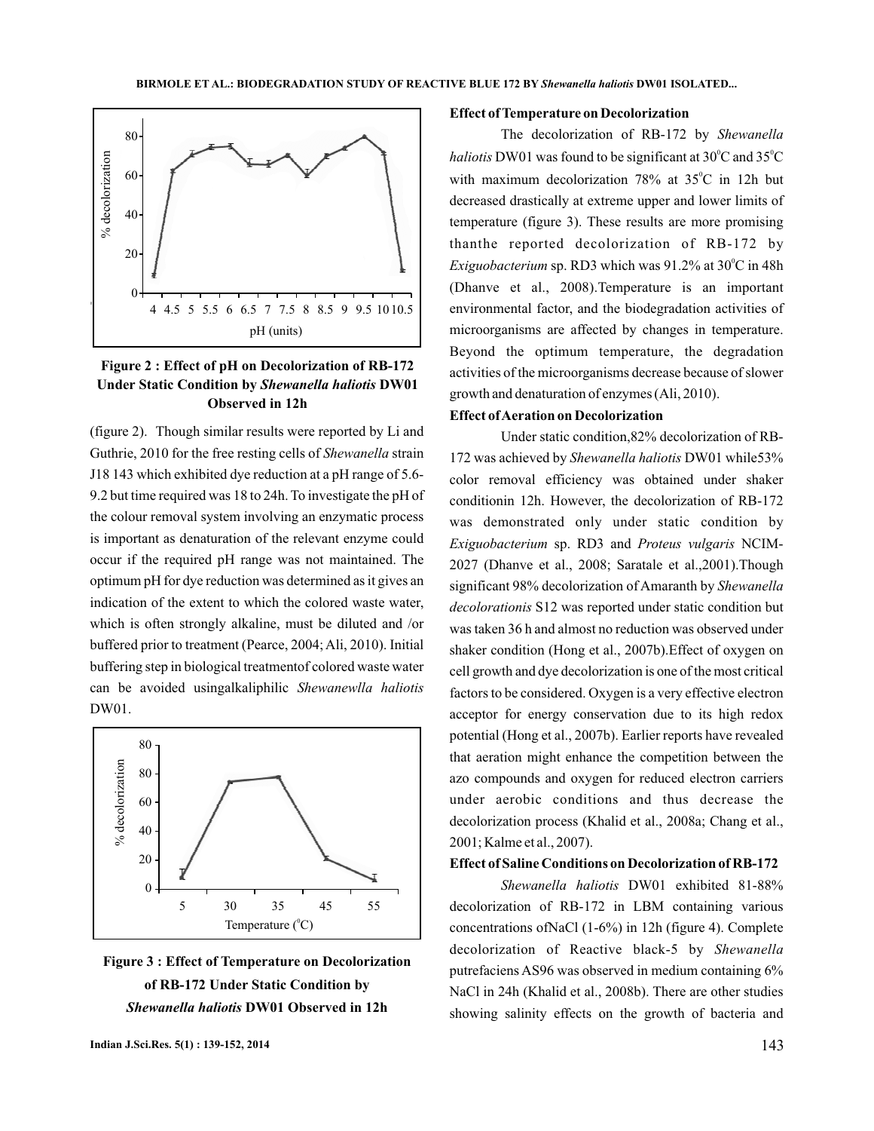

# **Figure 2 : Effect of pH on Decolorization of RB-172 Under Static Condition by Shewanella haliotis DW01 Observed in 12h**

(figure 2). Though similar results were reported by Li and Guthrie, 2010 for the free resting cells of Shewanella strain J18 143 which exhibited dye reduction at a pH range of 5.6- 9.2 but time required was 18 to 24h. To investigate the pH of the colour removal system involving an enzymatic process is important as denaturation of the relevant enzyme could occur if the required pH range was not maintained. The optimum pH for dye reduction was determined as it gives an indication of the extent to which the colored waste water, which is often strongly alkaline, must be diluted and /or buffered prior to treatment (Pearce, 2004; Ali, 2010). Initial buffering step in biological treatmentof colored waste water can be avoided usingalkaliphilic *Shewanewlla haliotis* DW01.





#### **Effect of Temperature on Decolorization**

The decolorization of RB-172 by *Shewanella haliotis* DW01 was found to be significant at  $30^{\circ}$ C and  $35^{\circ}$ C with maximum decolorization  $78\%$  at  $35^{\circ}$ C in 12h but decreased drastically at extreme upper and lower limits of temperature (figure 3). These results are more promising thanthe reported decolorization of RB-172 by *Exiguobacterium* sp. RD3 which was 91.2% at 30°C in 48h (Dhanve et al., 2008).Temperature is an important environmental factor, and the biodegradation activities of microorganisms are affected by changes in temperature. Beyond the optimum temperature, the degradation activities of the microorganisms decrease because of slower growth and denaturation of enzymes (Ali, 2010).

## **Effect ofAeration on Decolorization**

Under static condition,82% decolorization of RB-172 was achieved by Shewanella haliotis DW01 while53% color removal efficiency was obtained under shaker conditionin 12h. However, the decolorization of RB-172 was demonstrated only under static condition by Exiguobacterium sp. RD3 and Proteus vulgaris NCIM-2027 (Dhanve et al., 2008; Saratale et al.,2001).Though significant 98% decolorization of Amaranth by *Shewanella* decolorationis S12 was reported under static condition but was taken 36 h and almost no reduction was observed under shaker condition (Hong et al., 2007b).Effect of oxygen on cell growth and dye decolorization is one of the most critical factors to be considered. Oxygen is a very effective electron acceptor for energy conservation due to its high redox potential (Hong et al., 2007b). Earlier reports have revealed that aeration might enhance the competition between the azo compounds and oxygen for reduced electron carriers under aerobic conditions and thus decrease the decolorization process (Khalid et al., 2008a; Chang et al., 2001; Kalme et al., 2007).

## **Effect of Saline Conditions on Decolorization of RB-172**

DW01 exhibited 81-88% *Shewanella haliotis* decolorization of RB-172 in LBM containing various concentrations ofNaCl (1-6%) in 12h (figure 4). Complete decolorization of Reactive black-5 by *Shewanella* putrefaciens AS96 was observed in medium containing 6% NaCl in 24h (Khalid et al., 2008b). There are other studies showing salinity effects on the growth of bacteria and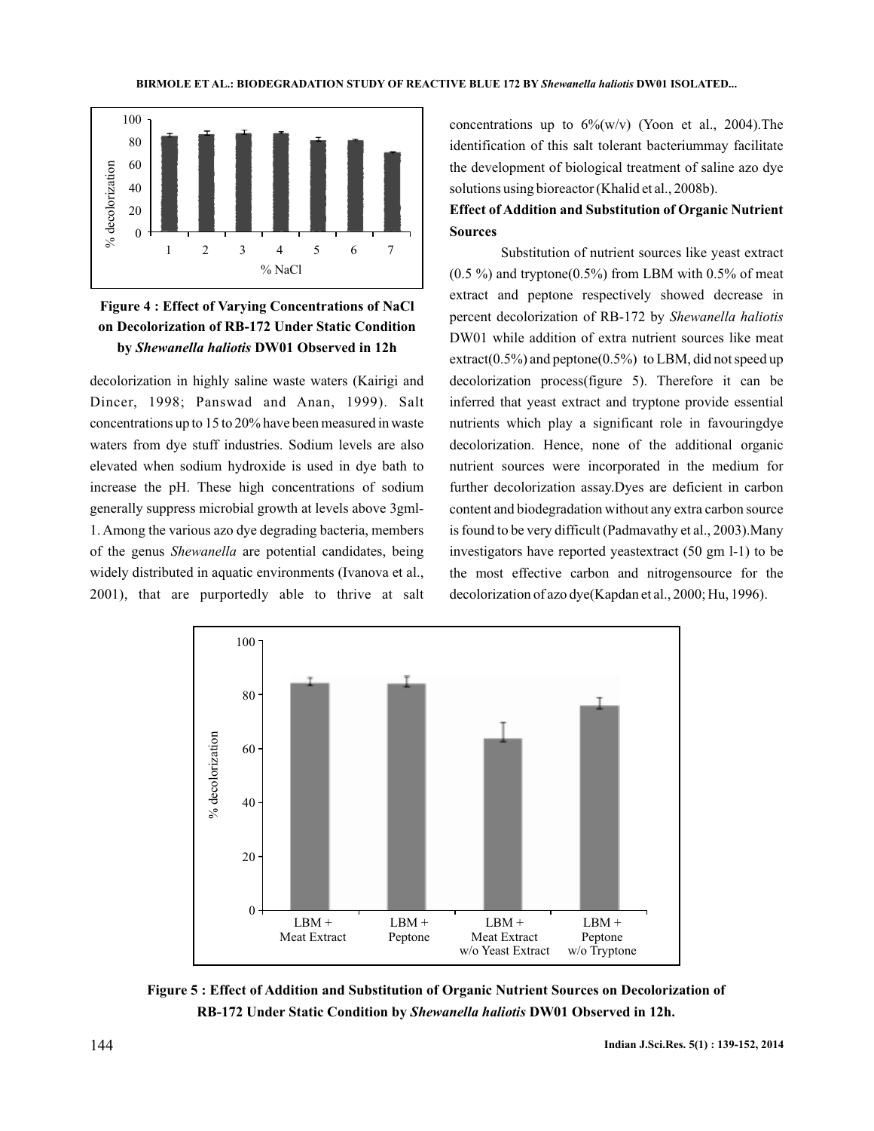

# **Figure 4 : Effect of Varying Concentrations of NaCl on Decolorization of RB-172 Under Static Condition by DW01 Observed in 12h** *Shewanella haliotis*

decolorization in highly saline waste waters (Kairigi and Dincer, 1998; Panswad and Anan, 1999). Salt concentrations up to 15 to 20% have been measured in waste waters from dye stuff industries. Sodium levels are also elevated when sodium hydroxide is used in dye bath to increase the pH. These high concentrations of sodium generally suppress microbial growth at levels above 3gml-1. Among the various azo dye degrading bacteria, members of the genus Shewanella are potential candidates, being widely distributed in aquatic environments (Ivanova et al., 2001), that are purportedly able to thrive at salt

concentrations up to  $6\%$ (w/v) (Yoon et al., 2004). The identification of this salt tolerant bacteriummay facilitate the development of biological treatment of saline azo dye solutions using bioreactor (Khalid et al., 2008b).

# **Effect of Addition and Substitution of Organic Nutrient Sources**

Substitution of nutrient sources like yeast extract  $(0.5\%)$  and tryptone $(0.5\%)$  from LBM with 0.5% of meat extract and peptone respectively showed decrease in percent decolorization of RB-172 by *Shewanella haliotis* DW01 while addition of extra nutrient sources like meat extract( $0.5\%$ ) and peptone( $0.5\%$ ) to LBM, did not speed up decolorization process(figure 5). Therefore it can be inferred that yeast extract and tryptone provide essential nutrients which play a significant role in favouringdye decolorization. Hence, none of the additional organic nutrient sources were incorporated in the medium for further decolorization assay.Dyes are deficient in carbon content and biodegradation without any extra carbon source is found to be very difficult (Padmavathy et al., 2003).Many investigators have reported yeastextract (50 gm l-1) to be the most effective carbon and nitrogensource for the decolorization of azo dye(Kapdan et al., 2000; Hu, 1996).



**Figure 5 : Effect of Addition and Substitution of Organic Nutrient Sources on Decolorization of RB-172 Under Static Condition by Shewanella haliotis DW01 Observed in 12h.**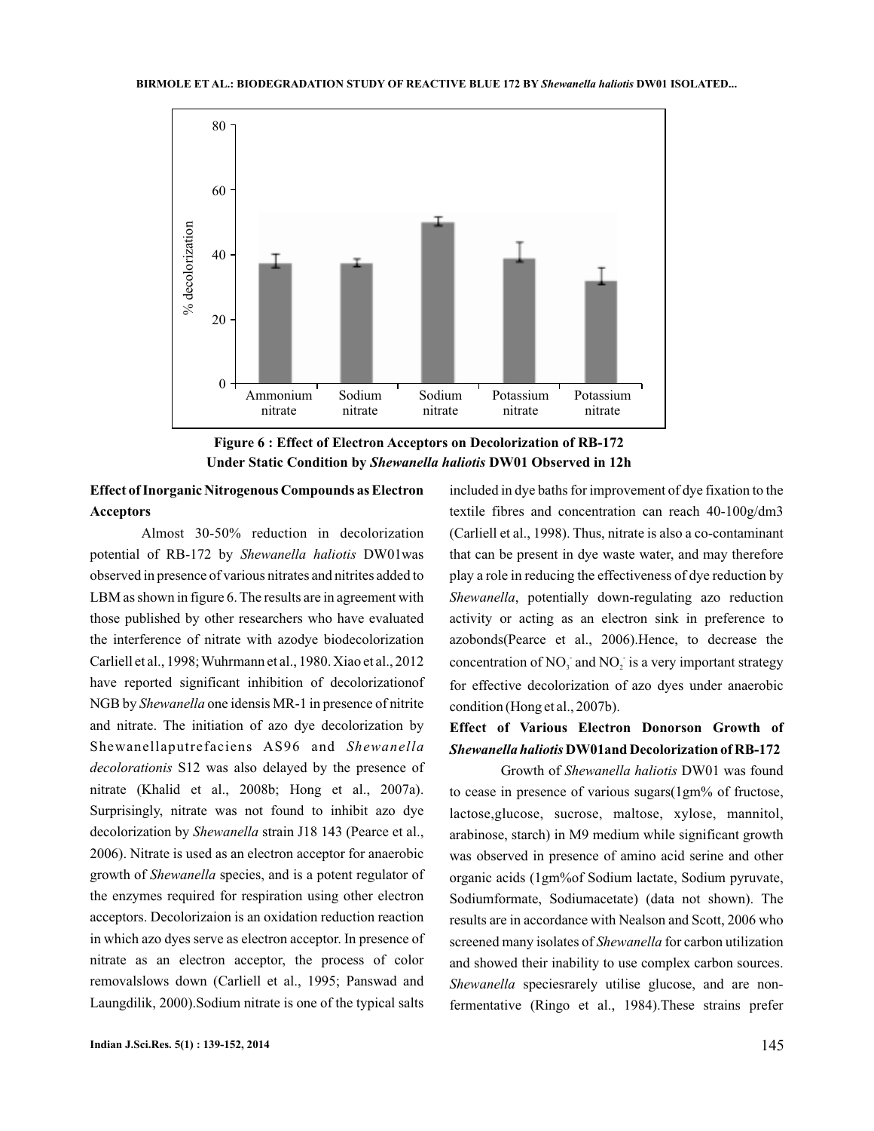

**Figure 6 : Effect of Electron Acceptors on Decolorization of RB-172 Under Static Condition by Shewanella haliotis DW01 Observed in 12h** 

# **Effect of Inorganic Nitrogenous Compounds as Electron Acceptors**

Almost 30-50% reduction in decolorization potential of RB-172 by Shewanella haliotis DW01was observed in presence of various nitrates and nitrites added to LBM as shown in figure 6. The results are in agreement with those published by other researchers who have evaluated the interference of nitrate with azodye biodecolorization Carliell et al., 1998;Wuhrmann et al., 1980. Xiao et al., 2012 have reported significant inhibition of decolorizationof NGB by *Shewanella* one idensis MR-1 in presence of nitrite and nitrate. The initiation of azo dye decolorization by Shewanellaputrefaciens AS96 and Shewanella decolorationis S12 was also delayed by the presence of nitrate (Khalid et al., 2008b; Hong et al., 2007a). Surprisingly, nitrate was not found to inhibit azo dye decolorization by Shewanella strain J18 143 (Pearce et al., 2006). Nitrate is used as an electron acceptor for anaerobic growth of Shewanella species, and is a potent regulator of the enzymes required for respiration using other electron acceptors. Decolorizaion is an oxidation reduction reaction in which azo dyes serve as electron acceptor. In presence of nitrate as an electron acceptor, the process of color removalslows down (Carliell et al., 1995; Panswad and Laungdilik, 2000).Sodium nitrate is one of the typical salts

included in dye baths for improvement of dye fixation to the textile fibres and concentration can reach 40-100g/dm3 (Carliell et al., 1998). Thus, nitrate is also a co-contaminant that can be present in dye waste water, and may therefore play a role in reducing the effectiveness of dye reduction by Shewanella, potentially down-regulating azo reduction activity or acting as an electron sink in preference to azobonds(Pearce et al., 2006).Hence, to decrease the concentration of  $NO_3^-$  and  $NO_2^-$  is a very important strategy for effective decolorization of azo dyes under anaerobic condition (Hong et al., 2007b).

# **Effect of Various Electron Donorson Growth of** *Shewanella haliotis* **DW01and Decolorization of RB-172**

Growth of Shewanella haliotis DW01 was found to cease in presence of various sugars(1gm% of fructose, lactose,glucose, sucrose, maltose, xylose, mannitol, arabinose, starch) in M9 medium while significant growth was observed in presence of amino acid serine and other organic acids (1gm%of Sodium lactate, Sodium pyruvate, Sodiumformate, Sodiumacetate) (data not shown). The results are in accordance with Nealson and Scott, 2006 who screened many isolates of Shewanella for carbon utilization and showed their inability to use complex carbon sources. Shewanella speciesrarely utilise glucose, and are nonfermentative (Ringo et al., 1984).These strains prefer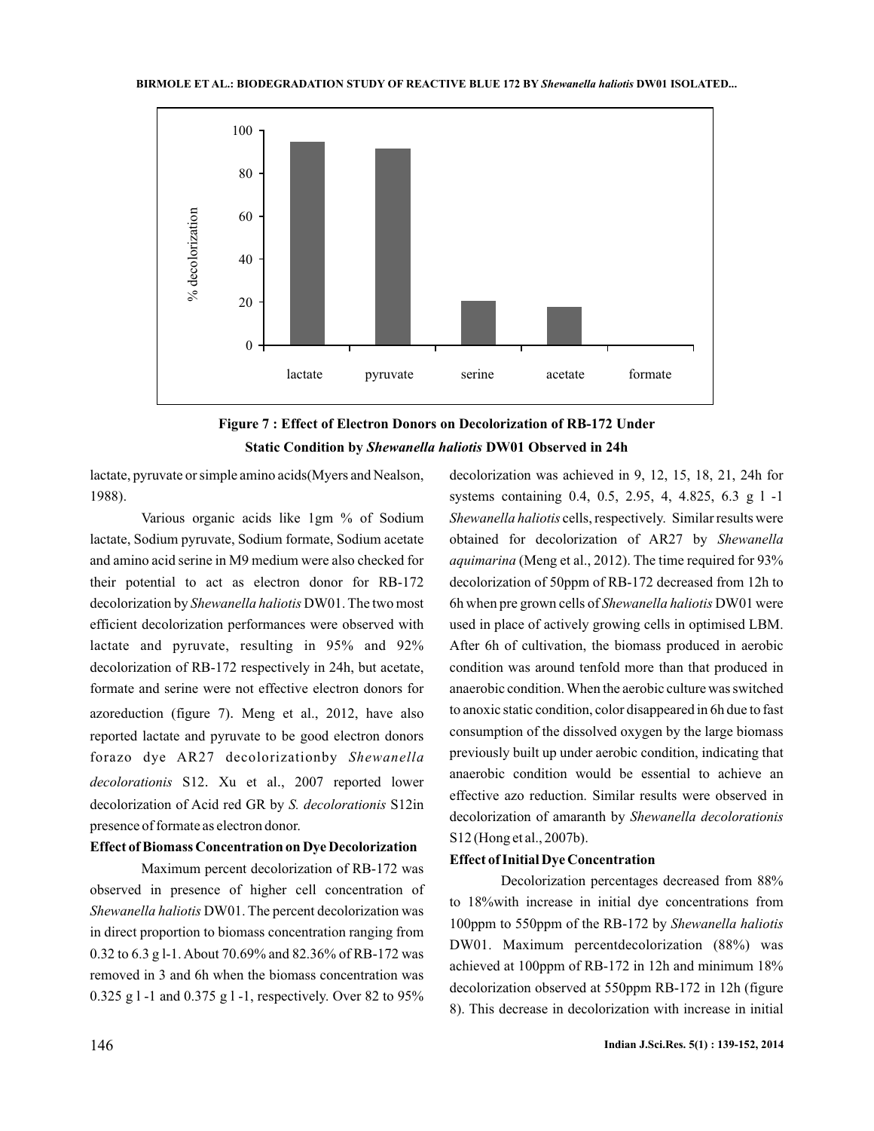



lactate, pyruvate or simple amino acids(Myers and Nealson, 1988).

Various organic acids like 1gm % of Sodium lactate, Sodium pyruvate, Sodium formate, Sodium acetate and amino acid serine in M9 medium were also checked for their potential to act as electron donor for RB-172 decolorization by Shewanella haliotis DW01. The two most efficient decolorization performances were observed with lactate and pyruvate, resulting in 95% and 92% decolorization of RB-172 respectively in 24h, but acetate, formate and serine were not effective electron donors for azoreduction (figure 7). Meng et al., 2012, have also reported lactate and pyruvate to be good electron donors forazo dye AR27 decolorizationby *Shewanella* decolorationis S12. Xu et al., 2007 reported lower decolorization of Acid red GR by S. decolorationis S12in presence of formate as electron donor.

## **Effect of Biomass Concentration on Dye Decolorization**

Maximum percent decolorization of RB-172 was observed in presence of higher cell concentration of Shewanella haliotis DW01. The percent decolorization was in direct proportion to biomass concentration ranging from 0.32 to 6.3 g l-1. About 70.69% and 82.36% of RB-172 was removed in 3 and 6h when the biomass concentration was 0.325 g l -1 and 0.375 g l -1, respectively. Over 82 to 95%

decolorization was achieved in 9, 12, 15, 18, 21, 24h for systems containing 0.4, 0.5, 2.95, 4, 4.825, 6.3 g l -1 Shewanella haliotis cells, respectively. Similar results were obtained for decolorization of AR27 by *Shewanella* (Meng et al., 2012). The time required for 93% *aquimarina* decolorization of 50ppm of RB-172 decreased from 12h to 6h when pre grown cells of Shewanella haliotis DW01 were used in place of actively growing cells in optimised LBM. After 6h of cultivation, the biomass produced in aerobic condition was around tenfold more than that produced in anaerobic condition.When the aerobic culture was switched to anoxic static condition, color disappeared in 6h due to fast consumption of the dissolved oxygen by the large biomass previously built up under aerobic condition, indicating that anaerobic condition would be essential to achieve an effective azo reduction. Similar results were observed in decolorization of amaranth by *Shewanella decolorationis* S12 (Hong et al., 2007b).

## **Effect of Initial Dye Concentration**

Decolorization percentages decreased from 88% to 18%with increase in initial dye concentrations from 100ppm to 550ppm of the RB-172 by *Shewanella haliotis* DW01. Maximum percentdecolorization (88%) was achieved at 100ppm of RB-172 in 12h and minimum 18% decolorization observed at 550ppm RB-172 in 12h (figure 8). This decrease in decolorization with increase in initial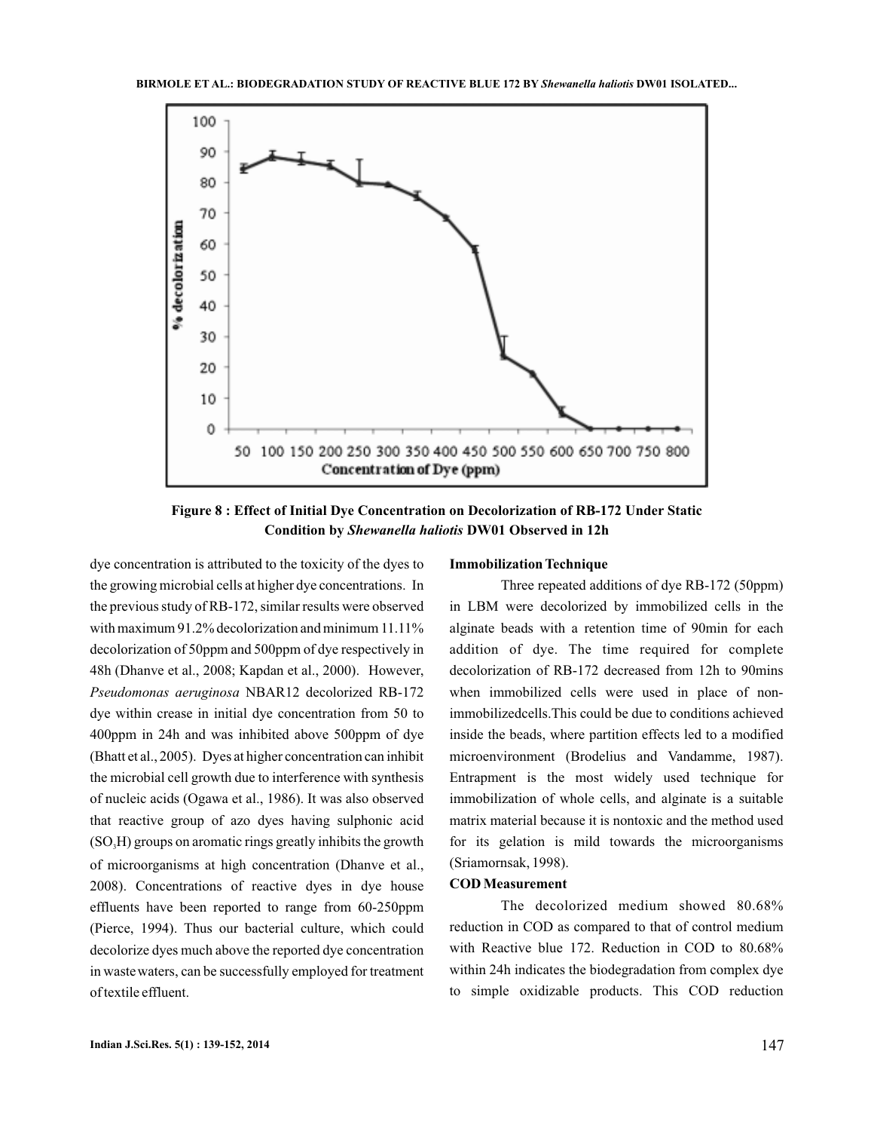

**Figure 8 : Effect of Initial Dye Concentration on Decolorization of RB-172 Under Static Condition by DW01 Observed in 12h** *Shewanella haliotis*

dye concentration is attributed to the toxicity of the dyes to the growing microbial cells at higher dye concentrations. In the previous study of RB-172, similar results were observed with maximum 91.2% decolorization and minimum 11.11% decolorization of 50ppm and 500ppm of dye respectively in 48h (Dhanve et al., 2008; Kapdan et al., 2000). However, Pseudomonas aeruginosa NBAR12 decolorized RB-172 dye within crease in initial dye concentration from 50 to 400ppm in 24h and was inhibited above 500ppm of dye (Bhatt et al., 2005). Dyes at higher concentration can inhibit the microbial cell growth due to interference with synthesis of nucleic acids (Ogawa et al., 1986). It was also observed that reactive group of azo dyes having sulphonic acid  $(SO<sub>3</sub>H)$  groups on aromatic rings greatly inhibits the growth of microorganisms at high concentration (Dhanve et al., 2008). Concentrations of reactive dyes in dye house effluents have been reported to range from 60-250ppm (Pierce, 1994). Thus our bacterial culture, which could decolorize dyes much above the reported dye concentration in wastewaters, can be successfully employed for treatment of textile effluent.

#### **Immobilization Technique**

Three repeated additions of dye RB-172 (50ppm) in LBM were decolorized by immobilized cells in the alginate beads with a retention time of 90min for each addition of dye. The time required for complete decolorization of RB-172 decreased from 12h to 90mins when immobilized cells were used in place of nonimmobilizedcells.This could be due to conditions achieved inside the beads, where partition effects led to a modified microenvironment (Brodelius and Vandamme, 1987). Entrapment is the most widely used technique for immobilization of whole cells, and alginate is a suitable matrix material because it is nontoxic and the method used for its gelation is mild towards the microorganisms (Sriamornsak, 1998).

### **COD Measurement**

The decolorized medium showed 80.68% reduction in COD as compared to that of control medium with Reactive blue 172. Reduction in COD to 80.68% within 24h indicates the biodegradation from complex dye to simple oxidizable products. This COD reduction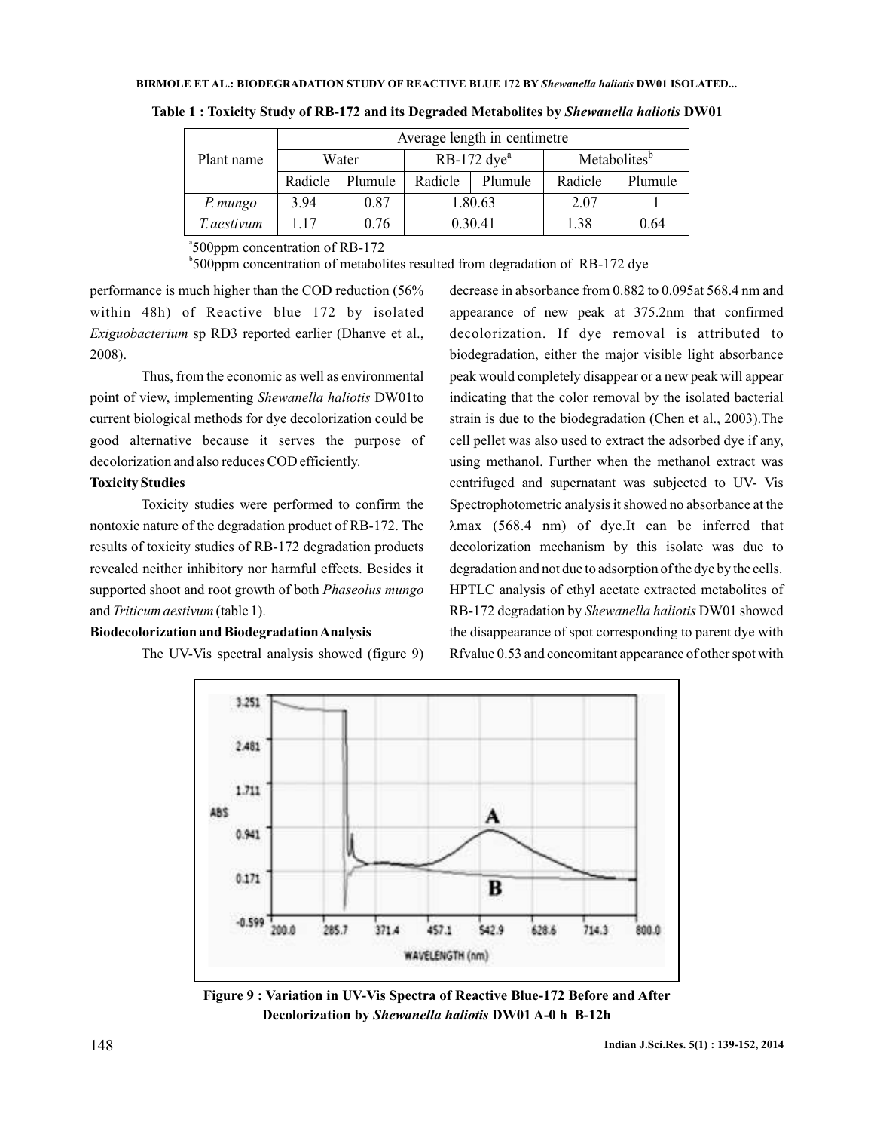|             | Average length in centimetre |         |                           |         |                          |         |  |
|-------------|------------------------------|---------|---------------------------|---------|--------------------------|---------|--|
| Plant name  | Water                        |         | $RB-172$ dye <sup>a</sup> |         | Metabolites <sup>b</sup> |         |  |
|             | Radicle                      | Plumule | Radicle                   | Plumule | Radicle                  | Plumule |  |
| P. mungo    | 3.94                         | 0.87    | 1.80.63                   |         | 2.07                     |         |  |
| T. aestivum | 117                          | 0.76    | 0.30.41                   |         | 1.38                     | 0.64    |  |

Table 1 : Toxicity Study of RB-172 and its Degraded Metabolites by *Shewanella haliotis* DW01

a 500ppm concentration of RB-172

<sup>5</sup>500ppm concentration of metabolites resulted from degradation of RB-172 dye

performance is much higher than the COD reduction (56% within 48h) of Reactive blue 172 by isolated Exiguobacterium sp RD3 reported earlier (Dhanve et al., 2008).

Thus, from the economic as well as environmental point of view, implementing Shewanella haliotis DW01to current biological methods for dye decolorization could be good alternative because it serves the purpose of decolorization and also reduces COD efficiently.

### **Toxicity Studies**

Toxicity studies were performed to confirm the nontoxic nature of the degradation product of RB-172. The results of toxicity studies of RB-172 degradation products revealed neither inhibitory nor harmful effects. Besides it supported shoot and root growth of both *Phaseolus mungo* and Triticum aestivum (table 1).

### **Biodecolorization and BiodegradationAnalysis**

The UV-Vis spectral analysis showed (figure 9)

decrease in absorbance from 0.882 to 0.095at 568.4 nm and appearance of new peak at 375.2nm that confirmed decolorization. If dye removal is attributed to biodegradation, either the major visible light absorbance peak would completely disappear or a new peak will appear indicating that the color removal by the isolated bacterial strain is due to the biodegradation (Chen et al., 2003).The cell pellet was also used to extract the adsorbed dye if any, using methanol. Further when the methanol extract was centrifuged and supernatant was subjected to UV- Vis Spectrophotometric analysis it showed no absorbance at the (568.4 nm) of dye.It can be inferred that λmax decolorization mechanism by this isolate was due to degradation and not due to adsorption of the dye by the cells. HPTLC analysis of ethyl acetate extracted metabolites of RB-172 degradation by Shewanella haliotis DW01 showed the disappearance of spot corresponding to parent dye with Rfvalue 0.53 and concomitant appearance of other spot with



**Figure 9 : Variation in UV-Vis Spectra of Reactive Blue-172 Before and After Decolorization by Shewanella haliotis DW01 A-0 h B-12h**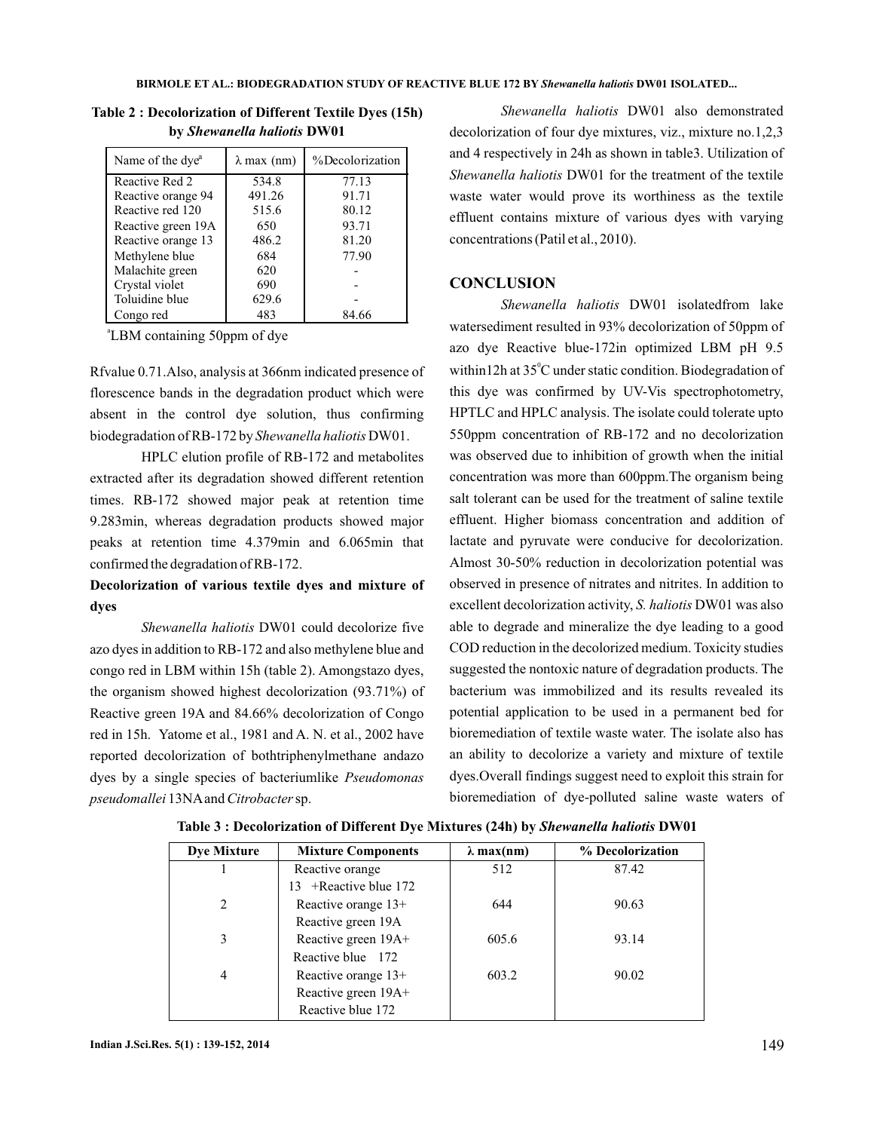| Name of the dye <sup>a</sup> | $\lambda$ max (nm) | %Decolorization |
|------------------------------|--------------------|-----------------|
| Reactive Red 2               | 534.8              | 77.13           |
| Reactive orange 94           | 491.26             | 91.71           |
| Reactive red 120             | 515.6              | 80.12           |
| Reactive green 19A           | 650                | 93.71           |
| Reactive orange 13           | 486.2              | 81.20           |
| Methylene blue               | 684                | 77.90           |
| Malachite green              | 620                |                 |
| Crystal violet               | 690                |                 |
| Toluidine blue               | 629.6              |                 |
| Congo red                    | 483                | 84.66           |

**Table 2 : Decolorization of Different Textile Dyes (15h) by DW01** *Shewanella haliotis*

a LBM containing 50ppm of dye

Rfvalue 0.71.Also, analysis at 366nm indicated presence of florescence bands in the degradation product which were absent in the control dye solution, thus confirming biodegradation of RB-172 by Shewanella haliotis DW01.

HPLC elution profile of RB-172 and metabolites extracted after its degradation showed different retention times. RB-172 showed major peak at retention time 9.283min, whereas degradation products showed major peaks at retention time 4.379min and 6.065min that confirmed the degradation of RB-172.

# **Decolorization of various textile dyes and mixture of dyes**

Shewanella haliotis DW01 could decolorize five azo dyes in addition to RB-172 and also methylene blue and congo red in LBM within 15h (table 2). Amongstazo dyes, the organism showed highest decolorization (93.71%) of Reactive green 19A and 84.66% decolorization of Congo red in 15h. Yatome et al., 1981 and A. N. et al., 2002 have reported decolorization of bothtriphenylmethane andazo dyes by a single species of bacteriumlike *Pseudomonas* pseudomallei 13NA and Citrobacter sp.

Shewanella haliotis DW01 also demonstrated decolorization of four dye mixtures, viz., mixture no.1,2,3 and 4 respectively in 24h as shown in table3. Utilization of Shewanella haliotis DW01 for the treatment of the textile waste water would prove its worthiness as the textile effluent contains mixture of various dyes with varying concentrations (Patil et al., 2010).

## **CONCLUSION**

Shewanella haliotis DW01 isolatedfrom lake watersediment resulted in 93% decolorization of 50ppm of azo dye Reactive blue-172in optimized LBM pH 9.5 within 12h at  $35^{\circ}$ C under static condition. Biodegradation of this dye was confirmed by UV-Vis spectrophotometry, HPTLC and HPLC analysis. The isolate could tolerate upto 550ppm concentration of RB-172 and no decolorization was observed due to inhibition of growth when the initial concentration was more than 600ppm.The organism being salt tolerant can be used for the treatment of saline textile effluent. Higher biomass concentration and addition of lactate and pyruvate were conducive for decolorization. Almost 30-50% reduction in decolorization potential was observed in presence of nitrates and nitrites. In addition to excellent decolorization activity, S. haliotis DW01 was also able to degrade and mineralize the dye leading to a good COD reduction in the decolorized medium. Toxicity studies suggested the nontoxic nature of degradation products. The bacterium was immobilized and its results revealed its potential application to be used in a permanent bed for bioremediation of textile waste water. The isolate also has an ability to decolorize a variety and mixture of textile dyes.Overall findings suggest need to exploit this strain for bioremediation of dye-polluted saline waste waters of

| Dye Mixture    | <b>Mixture Components</b> | $\lambda$ max(nm) | % Decolorization |
|----------------|---------------------------|-------------------|------------------|
|                | Reactive orange           | 512               | 87.42            |
|                | 13 + Reactive blue $172$  |                   |                  |
| $\overline{c}$ | Reactive orange $13+$     | 644               | 90.63            |
|                | Reactive green 19A        |                   |                  |
| 3              | Reactive green 19A+       | 605.6             | 93.14            |
|                | Reactive blue 172         |                   |                  |
| 4              | Reactive orange 13+       | 603.2             | 90.02            |
|                | Reactive green 19A+       |                   |                  |
|                | Reactive blue 172         |                   |                  |

Table 3 : Decolorization of Different Dye Mixtures (24h) by Shewanella haliotis DW01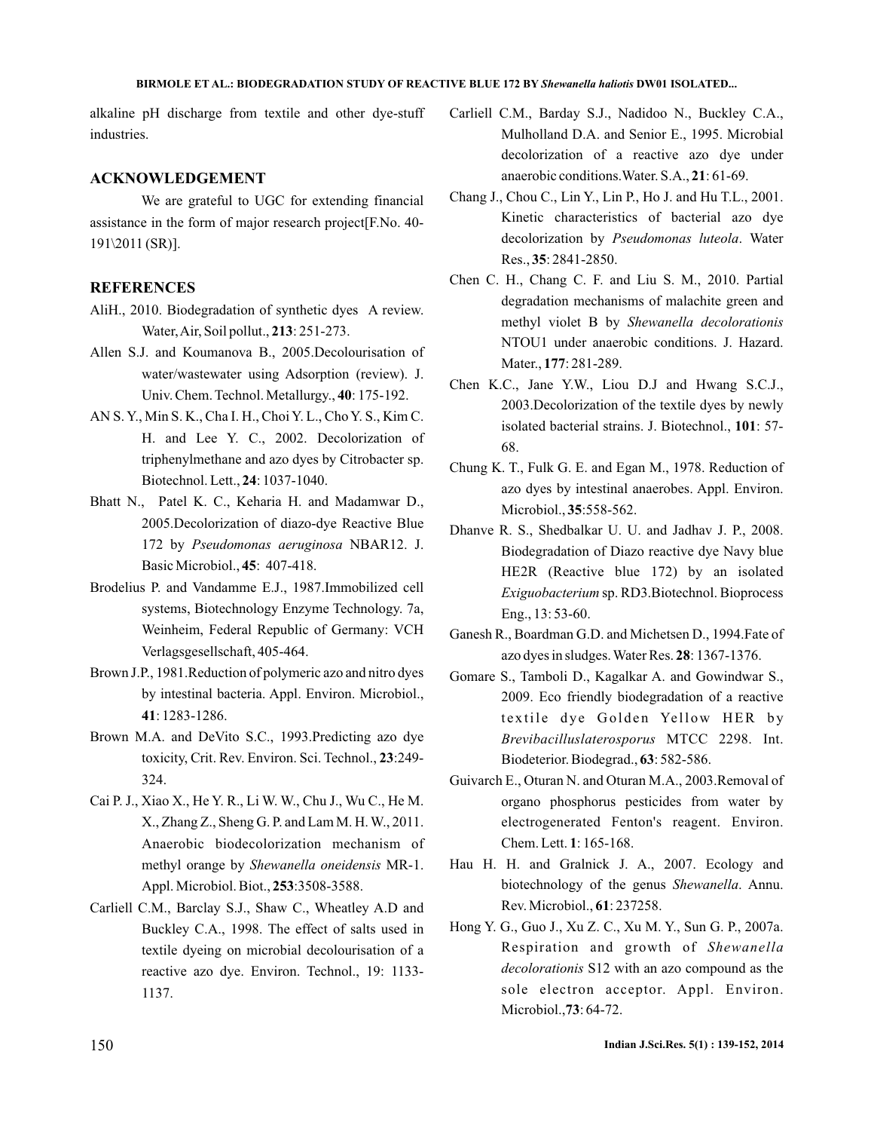#### **BIRMOLE ET AL.: BIODEGRADATION STUDY OF REACTIVE BLUE 172 BY Shewanella haliotis DW01 ISOLATED...**

alkaline pH discharge from textile and other dye-stuff industries.

## **ACKNOWLEDGEMENT**

We are grateful to UGC for extending financial assistance in the form of major research project[F.No. 40- 191\2011 (SR)].

## **REFERENCES**

- AliH., 2010. Biodegradation of synthetic dyes A review. Water, Air, Soil pollut., 213: 251-273.
- Allen S.J. and Koumanova B., 2005.Decolourisation of water/wastewater using Adsorption (review). J. Univ. Chem. Technol. Metallurgy., 40: 175-192.
- AN S. Y., Min S. K., Cha I. H., Choi Y. L., Cho Y. S., Kim C. H. and Lee Y. C., 2002. Decolorization of triphenylmethane and azo dyes by Citrobacter sp. Biotechnol. Lett., 24: 1037-1040.
- Bhatt N., Patel K. C., Keharia H. and Madamwar D., 2005.Decolorization of diazo-dye Reactive Blue 172 by Pseudomonas aeruginosa NBAR12. J. Basic Microbiol., 45: 407-418.
- Brodelius P. and Vandamme E.J., 1987.Immobilized cell systems, Biotechnology Enzyme Technology. 7a, Weinheim, Federal Republic of Germany: VCH Verlagsgesellschaft, 405-464.
- Brown J.P., 1981.Reduction of polymeric azo and nitro dyes by intestinal bacteria. Appl. Environ. Microbiol., : 1283-1286. **41**
- Brown M.A. and DeVito S.C., 1993.Predicting azo dye toxicity, Crit. Rev. Environ. Sci. Technol., 23:249-324.
- Cai P. J., Xiao X., He Y. R., Li W. W., Chu J., Wu C., He M. X., Zhang Z., Sheng G. P. and Lam M. H.W., 2011. Anaerobic biodecolorization mechanism of methyl orange by Shewanella oneidensis MR-1. Appl. Microbiol. Biot., 253:3508-3588.
- Carliell C.M., Barclay S.J., Shaw C., Wheatley A.D and Buckley C.A., 1998. The effect of salts used in textile dyeing on microbial decolourisation of a reactive azo dye. Environ. Technol., 19: 1133- 1137.
- Carliell C.M., Barday S.J., Nadidoo N., Buckley C.A., Mulholland D.A. and Senior E., 1995. Microbial decolorization of a reactive azo dye under anaerobic conditions. Water. S.A., 21:61-69.
- Chang J., Chou C., Lin Y., Lin P., Ho J. and Hu T.L., 2001. Kinetic characteristics of bacterial azo dye decolorization by Pseudomonas luteola. Water Res., 35: 2841-2850.
- Chen C. H., Chang C. F. and Liu S. M., 2010. Partial degradation mechanisms of malachite green and methyl violet B by *Shewanella decolorationis* NTOU1 under anaerobic conditions. J. Hazard. Mater., 177: 281-289.
- Chen K.C., Jane Y.W., Liou D.J and Hwang S.C.J., 2003.Decolorization of the textile dyes by newly isolated bacterial strains. J. Biotechnol., 101: 57-68.
- Chung K. T., Fulk G. E. and Egan M., 1978. Reduction of azo dyes by intestinal anaerobes. Appl. Environ. Microbiol., 35:558-562.
- Dhanve R. S., Shedbalkar U. U. and Jadhav J. P., 2008. Biodegradation of Diazo reactive dye Navy blue HE2R (Reactive blue 172) by an isolated Exiguobacterium sp. RD3.Biotechnol. Bioprocess Eng., 13: 53-60.
- Ganesh R., Boardman G.D. and Michetsen D., 1994.Fate of azo dyes in sludges. Water Res. 28: 1367-1376.
- Gomare S., Tamboli D., Kagalkar A. and Gowindwar S., 2009. Eco friendly biodegradation of a reactive textile dye Golden Yellow HER by MTCC 2298. Int. *Brevibacilluslaterosporus* Biodeterior. Biodegrad., 63: 582-586.
- Guivarch E., Oturan N. and Oturan M.A., 2003.Removal of organo phosphorus pesticides from water by electrogenerated Fenton's reagent. Environ. Chem. Lett. 1: 165-168.
- Hau H. H. and Gralnick J. A., 2007. Ecology and biotechnology of the genus Shewanella. Annu. Rev. Microbiol., 61: 237258.
- Hong Y. G., Guo J., Xu Z. C., Xu M. Y., Sun G. P., 2007a. Respiration and growth of *Shewanella* decolorationis S12 with an azo compound as the sole electron acceptor. Appl. Environ. Microbiol., 73: 64-72.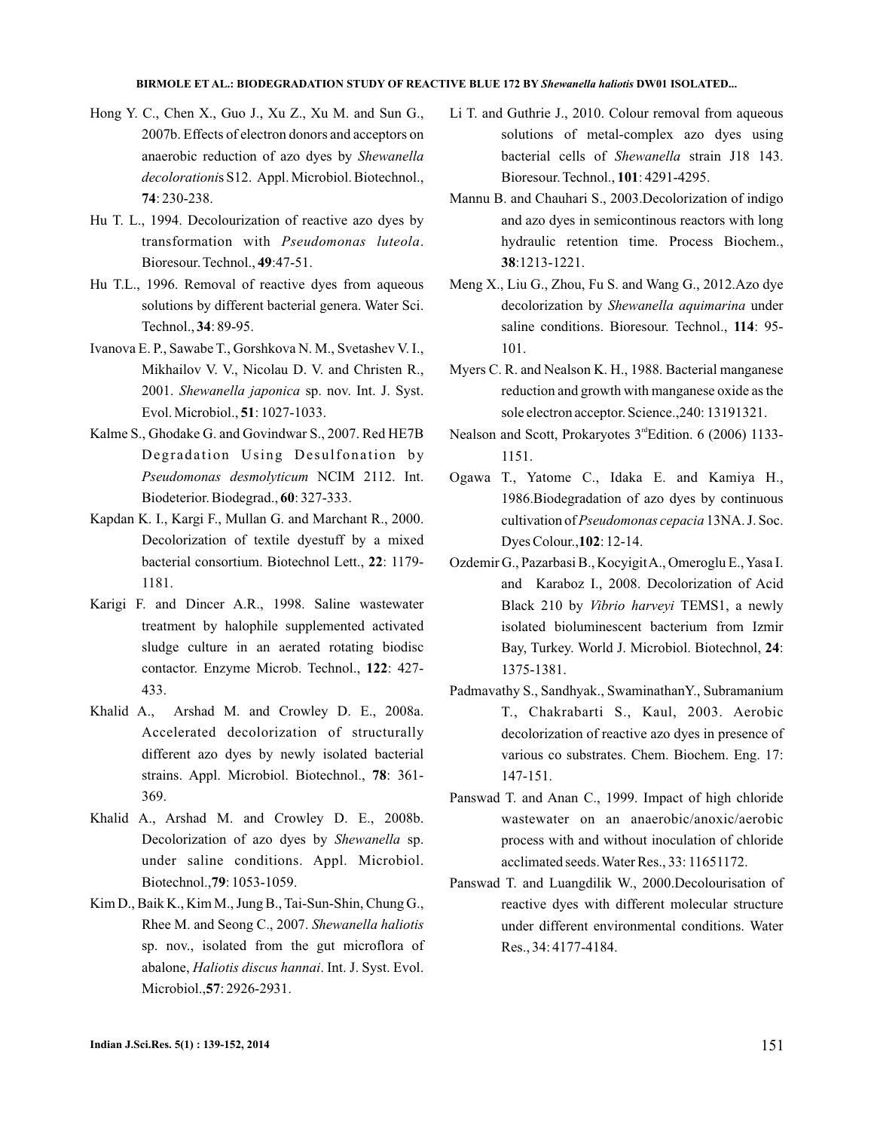#### **BIRMOLE ET AL.: BIODEGRADATION STUDY OF REACTIVE BLUE 172 BY Shewanella haliotis DW01 ISOLATED...**

- Hong Y. C., Chen X., Guo J., Xu Z., Xu M. and Sun G., 2007b. Effects of electron donors and acceptors on anaerobic reduction of azo dyes by *Shewanella* decolorationis S12. Appl. Microbiol. Biotechnol., : 230-238. **74**
- Hu T. L., 1994. Decolourization of reactive azo dyes by transformation with . *Pseudomonas luteola* Bioresour. Technol., 49:47-51.
- Hu T.L., 1996. Removal of reactive dyes from aqueous solutions by different bacterial genera. Water Sci. Technol., 34: 89-95.
- Ivanova E. P., Sawabe T., Gorshkova N. M., Svetashev V. I., Mikhailov V. V., Nicolau D. V. and Christen R., 2001. Shewanella japonica sp. nov. Int. J. Syst. Evol. Microbiol., 51: 1027-1033.
- Kalme S., Ghodake G. and Govindwar S., 2007. Red HE7B Degradation Using Desulfonation by Pseudomonas desmolyticum NCIM 2112. Int. Biodeterior. Biodegrad., 60: 327-333.
- Kapdan K. I., Kargi F., Mullan G. and Marchant R., 2000. Decolorization of textile dyestuff by a mixed bacterial consortium. Biotechnol Lett., 22: 1179-1181.
- Karigi F. and Dincer A.R., 1998. Saline wastewater treatment by halophile supplemented activated sludge culture in an aerated rotating biodisc contactor. Enzyme Microb. Technol., 122: 427-433.
- Khalid A., Arshad M. and Crowley D. E., 2008a. Accelerated decolorization of structurally different azo dyes by newly isolated bacterial strains. Appl. Microbiol. Biotechnol., 78: 361-369.
- Khalid A., Arshad M. and Crowley D. E., 2008b. Decolorization of azo dyes by Shewanella sp. under saline conditions. Appl. Microbiol. Biotechnol., 79: 1053-1059.
- Kim D., Baik K., Kim M., Jung B., Tai-Sun-Shin, Chung G., Rhee M. and Seong C., 2007. *Shewanella haliotis* sp. nov., isolated from the gut microflora of abalone, Haliotis discus hannai. Int. J. Syst. Evol. Microbiol., **57**: 2926-2931.
- Li T. and Guthrie J., 2010. Colour removal from aqueous solutions of metal-complex azo dyes using bacterial cells of Shewanella strain J18 143. Bioresour. Technol., 101: 4291-4295.
- Mannu B. and Chauhari S., 2003.Decolorization of indigo and azo dyes in semicontinous reactors with long hydraulic retention time. Process Biochem., :1213-1221. **38**
- Meng X., Liu G., Zhou, Fu S. and Wang G., 2012.Azo dye decolorization by Shewanella aquimarina under saline conditions. Bioresour. Technol., 114: 95-101.
- Myers C. R. and Nealson K. H., 1988. Bacterial manganese reduction and growth with manganese oxide as the sole electron acceptor. Science.,240: 13191321.
- Nealson and Scott, Prokaryotes 3<sup>rd</sup>Edition. 6 (2006) 1133-1151.
- Ogawa T., Yatome C., Idaka E. and Kamiya H., 1986.Biodegradation of azo dyes by continuous cultivation of Pseudomonas cepacia 13NA. J. Soc. Dyes Colour., 102: 12-14.
- Ozdemir G., Pazarbasi B., KocyigitA., Omeroglu E.,Yasa I. and Karaboz I., 2008. Decolorization of Acid Black 210 by Vibrio harveyi TEMS1, a newly isolated bioluminescent bacterium from Izmir Bay, Turkey. World J. Microbiol. Biotechnol, 24: 1375-1381.
- Padmavathy S., Sandhyak., SwaminathanY., Subramanium T., Chakrabarti S., Kaul, 2003. Aerobic decolorization of reactive azo dyes in presence of various co substrates. Chem. Biochem. Eng. 17: 147-151.
- Panswad T. and Anan C., 1999. Impact of high chloride wastewater on an anaerobic/anoxic/aerobic process with and without inoculation of chloride acclimated seeds.Water Res., 33: 11651172.
- Panswad T. and Luangdilik W., 2000.Decolourisation of reactive dyes with different molecular structure under different environmental conditions. Water Res., 34: 4177-4184.